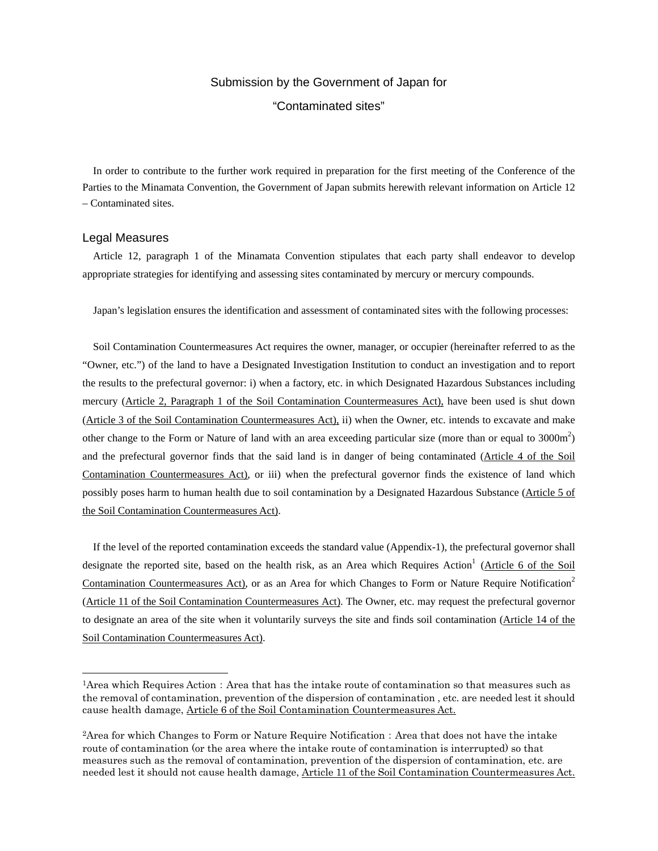## Submission by the Government of Japan for "Contaminated sites"

In order to contribute to the further work required in preparation for the first meeting of the Conference of the Parties to the Minamata Convention, the Government of Japan submits herewith relevant information on Article 12 – Contaminated sites.

## Legal Measures

 $\overline{a}$ 

Article 12, paragraph 1 of the Minamata Convention stipulates that each party shall endeavor to develop appropriate strategies for identifying and assessing sites contaminated by mercury or mercury compounds.

Japan's legislation ensures the identification and assessment of contaminated sites with the following processes:

Soil Contamination Countermeasures Act requires the owner, manager, or occupier (hereinafter referred to as the "Owner, etc.") of the land to have a Designated Investigation Institution to conduct an investigation and to report the results to the prefectural governor: i) when a factory, etc. in which Designated Hazardous Substances including mercury (Article 2, Paragraph 1 of the Soil Contamination Countermeasures Act), have been used is shut down (Article 3 of the Soil Contamination Countermeasures Act), ii) when the Owner, etc. intends to excavate and make other change to the Form or Nature of land with an area exceeding particular size (more than or equal to  $3000 \text{m}^2$ ) and the prefectural governor finds that the said land is in danger of being contaminated (Article 4 of the Soil Contamination Countermeasures Act), or iii) when the prefectural governor finds the existence of land which possibly poses harm to human health due to soil contamination by a Designated Hazardous Substance (Article 5 of the Soil Contamination Countermeasures Act).

If the level of the reported contamination exceeds the standard value (Appendix-1), the prefectural governor shall designate the reported site, based on the health risk, as an Area which Requires Action<sup>1</sup> (Article 6 of the Soil Contamination Countermeasures Act), or as an Area for which Changes to Form or Nature Require Notification<sup>2</sup> (Article 11 of the Soil Contamination Countermeasures Act). The Owner, etc. may request the prefectural governor to designate an area of the site when it voluntarily surveys the site and finds soil contamination (Article 14 of the Soil Contamination Countermeasures Act).

<sup>&</sup>lt;sup>1</sup>Area which Requires Action: Area that has the intake route of contamination so that measures such as the removal of contamination, prevention of the dispersion of contamination , etc. are needed lest it should cause health damage, Article 6 of the Soil Contamination Countermeasures Act.

<sup>&</sup>lt;sup>2</sup> Area for which Changes to Form or Nature Require Notification: Area that does not have the intake route of contamination (or the area where the intake route of contamination is interrupted) so that measures such as the removal of contamination, prevention of the dispersion of contamination, etc. are needed lest it should not cause health damage, Article 11 of the Soil Contamination Countermeasures Act.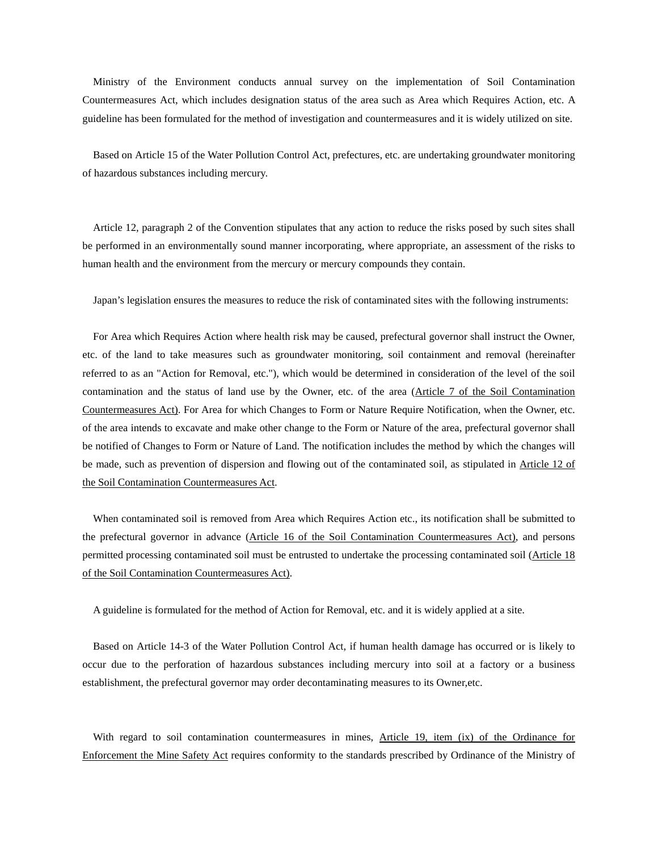Ministry of the Environment conducts annual survey on the implementation of Soil Contamination Countermeasures Act, which includes designation status of the area such as Area which Requires Action, etc. A guideline has been formulated for the method of investigation and countermeasures and it is widely utilized on site.

Based on Article 15 of the Water Pollution Control Act, prefectures, etc. are undertaking groundwater monitoring of hazardous substances including mercury.

Article 12, paragraph 2 of the Convention stipulates that any action to reduce the risks posed by such sites shall be performed in an environmentally sound manner incorporating, where appropriate, an assessment of the risks to human health and the environment from the mercury or mercury compounds they contain.

Japan's legislation ensures the measures to reduce the risk of contaminated sites with the following instruments:

For Area which Requires Action where health risk may be caused, prefectural governor shall instruct the Owner, etc. of the land to take measures such as groundwater monitoring, soil containment and removal (hereinafter referred to as an "Action for Removal, etc."), which would be determined in consideration of the level of the soil contamination and the status of land use by the Owner, etc. of the area (Article 7 of the Soil Contamination Countermeasures Act). For Area for which Changes to Form or Nature Require Notification, when the Owner, etc. of the area intends to excavate and make other change to the Form or Nature of the area, prefectural governor shall be notified of Changes to Form or Nature of Land. The notification includes the method by which the changes will be made, such as prevention of dispersion and flowing out of the contaminated soil, as stipulated in Article 12 of the Soil Contamination Countermeasures Act.

When contaminated soil is removed from Area which Requires Action etc., its notification shall be submitted to the prefectural governor in advance (Article 16 of the Soil Contamination Countermeasures Act), and persons permitted processing contaminated soil must be entrusted to undertake the processing contaminated soil (Article 18 of the Soil Contamination Countermeasures Act).

A guideline is formulated for the method of Action for Removal, etc. and it is widely applied at a site.

Based on Article 14-3 of the Water Pollution Control Act, if human health damage has occurred or is likely to occur due to the perforation of hazardous substances including mercury into soil at a factory or a business establishment, the prefectural governor may order decontaminating measures to its Owner,etc.

With regard to soil contamination countermeasures in mines, Article 19, item (ix) of the Ordinance for Enforcement the Mine Safety Act requires conformity to the standards prescribed by Ordinance of the Ministry of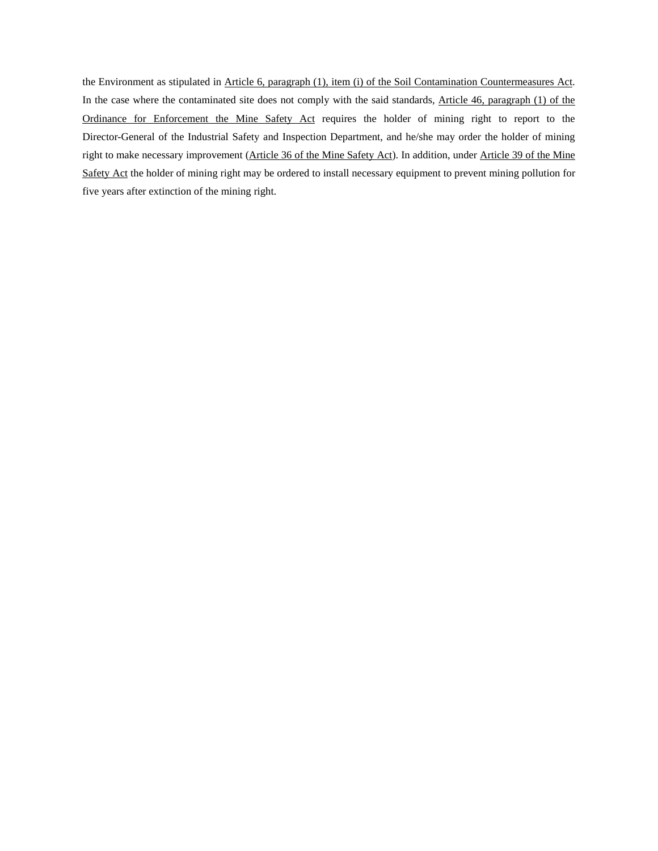the Environment as stipulated in Article 6, paragraph (1), item (i) of the Soil Contamination Countermeasures Act. In the case where the contaminated site does not comply with the said standards, Article 46, paragraph (1) of the Ordinance for Enforcement the Mine Safety Act requires the holder of mining right to report to the Director-General of the Industrial Safety and Inspection Department, and he/she may order the holder of mining right to make necessary improvement (Article 36 of the Mine Safety Act). In addition, under Article 39 of the Mine Safety Act the holder of mining right may be ordered to install necessary equipment to prevent mining pollution for five years after extinction of the mining right.